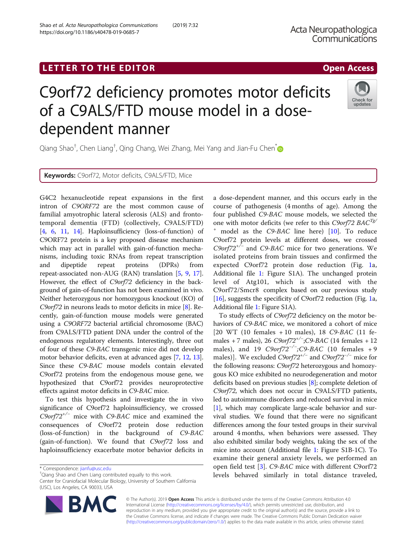# LETTER TO THE EDITOR **CONSIDERING A CONSIDERATION**

# C9orf72 deficiency promotes motor deficits of a C9ALS/FTD mouse model in a dosedependent manner

Qiang Shao<sup>t</sup>, Chen Liang<sup>t</sup>, Qing Chang, Wei Zhang, Mei Yang and Jian-Fu Chen<sup>[\\*](http://orcid.org/0000-0002-9474-5673)</sup>

Keywords: C9orf72, Motor deficits, C9ALS/FTD, Mice

G4C2 hexanucleotide repeat expansions in the first intron of C9ORF72 are the most common cause of familial amyotrophic lateral sclerosis (ALS) and frontotemporal dementia (FTD) (collectively, C9ALS/FTD) [[4,](#page-2-0) [6,](#page-2-0) [11](#page-2-0), [14](#page-2-0)]. Haploinsufficiency (loss-of-function) of C9ORF72 protein is a key proposed disease mechanism which may act in parallel with gain-of-function mechanisms, including toxic RNAs from repeat transcription and dipeptide repeat proteins (DPRs) from repeat-associated non-AUG (RAN) translation [[5,](#page-2-0) [9,](#page-2-0) [17](#page-2-0)]. However, the effect of C9orf72 deficiency in the background of gain-of-function has not been examined in vivo. Neither heterozygous nor homozygous knockout (KO) of C9orf72 in neurons leads to motor deficits in mice [\[8\]](#page-2-0). Recently, gain-of-function mouse models were generated using a C9ORF72 bacterial artificial chromosome (BAC) from C9ALS/FTD patient DNA under the control of the endogenous regulatory elements. Interestingly, three out of four of these C9-BAC transgenic mice did not develop motor behavior deficits, even at advanced ages [\[7,](#page-2-0) [12,](#page-2-0) [13](#page-2-0)]. Since these C9-BAC mouse models contain elevated C9orf72 proteins from the endogenous mouse gene, we hypothesized that C9orf72 provides neuroprotective effects against motor deficits in C9-BAC mice.

To test this hypothesis and investigate the in vivo significance of C9orf72 haploinsufficiency, we crossed  $C9$ orf72<sup>+/−</sup> mice with C9-BAC mice and examined the consequences of C9orf72 protein dose reduction (loss-of-function) in the background of C9-BAC (gain-of-function). We found that C9orf72 loss and haploinsufficiency exacerbate motor behavior deficits in

\* Correspondence: [jianfu@usc.edu](mailto:jianfu@usc.edu) †

Qiang Shao and Chen Liang contributed equally to this work.

Center for Craniofacial Molecular Biology, University of Southern California (USC), Los Angeles, CA 90033, USA

a dose-dependent manner, and this occurs early in the course of pathogenesis (4 months of age). Among the four published C9-BAC mouse models, we selected the one with motor deficits (we refer to this C9orf72 BAC<sup>Tg/</sup> <sup>+</sup> model as the C9-BAC line here) [[10\]](#page-2-0). To reduce C9orf72 protein levels at different doses, we crossed  $C9$ orf72<sup>+/-</sup> and C9-BAC mice for two generations. We isolated proteins from brain tissues and confirmed the expected C9orf72 protein dose reduction (Fig. [1a](#page-1-0), Additional file [1](#page-2-0): Figure S1A). The unchanged protein level of Atg101, which is associated with the C9orf72/Smcr8 complex based on our previous study [[16](#page-2-0)], suggests the specificity of C9orf72 reduction (Fig. [1a](#page-1-0), Additional file [1](#page-2-0): Figure S1A).

To study effects of C9orf72 deficiency on the motor behaviors of C9-BAC mice, we monitored a cohort of mice [20 WT (10 females + 10 males), 18 C9-BAC (11 females + 7 males), 26  $C9 \text{ or } 72^{+/}$ ;  $C9$ -BAC (14 females + 12<br>males), and 19  $C9 \text{ or } 72^{+/}$ ;  $C9$ -BAC (10 females + 9 males), and 19  $C9orf72^{-/-}$ ; C9-BAC (10 females + 9<br>males)] We excluded  $C9orf72^{+/-}$  and  $C9orf72^{-/-}$  mice for males)]. We excluded C9orf72<sup>+/−</sup> and C9orf72<sup>-/−</sup> mice for the following reasons: C9orf72 heterozygous and homozygous KO mice exhibited no neurodegeneration and motor deficits based on previous studies [[8\]](#page-2-0); complete deletion of C9orf72, which does not occur in C9ALS/FTD patients, led to autoimmune disorders and reduced survival in mice [[1\]](#page-2-0), which may complicate large-scale behavior and survival studies. We found that there were no significant differences among the four tested groups in their survival around 4 months, when behaviors were assessed. They also exhibited similar body weights, taking the sex of the mice into account (Additional file [1:](#page-2-0) Figure S1B-1C). To examine their general anxiety levels, we performed an open field test [[3\]](#page-2-0). C9-BAC mice with different C9orf72 levels behaved similarly in total distance traveled,

© The Author(s). 2019 Open Access This article is distributed under the terms of the Creative Commons Attribution 4.0 International License [\(http://creativecommons.org/licenses/by/4.0/](http://creativecommons.org/licenses/by/4.0/)), which permits unrestricted use, distribution, and reproduction in any medium, provided you give appropriate credit to the original author(s) and the source, provide a link to the Creative Commons license, and indicate if changes were made. The Creative Commons Public Domain Dedication waiver [\(http://creativecommons.org/publicdomain/zero/1.0/](http://creativecommons.org/publicdomain/zero/1.0/)) applies to the data made available in this article, unless otherwise stated.





updates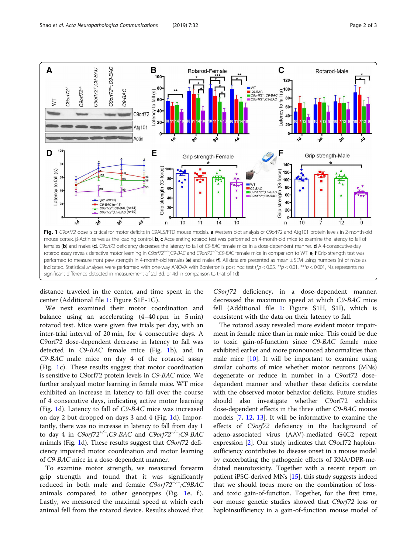<span id="page-1-0"></span>

distance traveled in the center, and time spent in the center (Additional file [1:](#page-2-0) Figure S1E-1G).

We next examined their motor coordination and balance using an accelerating (4–40 rpm in 5 min) rotarod test. Mice were given five trials per day, with an inter-trial interval of 20 min, for 4 consecutive days. A C9orf72 dose-dependent decrease in latency to fall was detected in C9-BAC female mice (Fig. 1b), and in C9-BAC male mice on day 4 of the rotarod assay (Fig. 1c). These results suggest that motor coordination is sensitive to C9orf72 protein levels in C9-BAC mice. We further analyzed motor learning in female mice. WT mice exhibited an increase in latency to fall over the course of 4 consecutive days, indicating active motor learning (Fig. 1d). Latency to fall of C9-BAC mice was increased on day 2 but dropped on days 3 and 4 (Fig. 1d). Importantly, there was no increase in latency to fall from day 1 to day 4 in  $C9$ orf72<sup>+/−</sup>;C9-BAC and  $C9$ orf72<sup>-/−</sup><br>animals (Eig. 1d). These results suggest that  $C9$ or  $\frac{1}{2}$  animals (Fig. 1d). These results suggest that *C9orf72* deficiency impaired motor coordination and motor learning of C9-BAC mice in a dose-dependent manner.

To examine motor strength, we measured forearm grip strength and found that it was significantly reduced in both male and female C9orf72<sup>-/-</sup>;C9BAC animals compared to other genotypes (Fig. 1e, f). Lastly, we measured the maximal speed at which each animal fell from the rotarod device. Results showed that

C9orf72 deficiency, in a dose-dependent manner, decreased the maximum speed at which C9-BAC mice fell (Additional file [1:](#page-2-0) Figure S1H, S1I), which is consistent with the data on their latency to fall.

The rotarod assay revealed more evident motor impairment in female mice than in male mice. This could be due to toxic gain-of-function since C9-BAC female mice exhibited earlier and more pronounced abnormalities than male mice [\[10\]](#page-2-0). It will be important to examine using similar cohorts of mice whether motor neurons (MNs) degenerate or reduce in number in a C9orf72 dosedependent manner and whether these deficits correlate with the observed motor behavior deficits. Future studies should also investigate whether C9orf72 exhibits dose-dependent effects in the three other C9-BAC mouse models [\[7](#page-2-0), [12,](#page-2-0) [13](#page-2-0)]. It will be informative to examine the effects of C9orf72 deficiency in the background of adeno-associated virus (AAV)-mediated G4C2 repeat expression [\[2](#page-2-0)]. Our study indicates that C9orf72 haploinsufficiency contributes to disease onset in a mouse model by exacerbating the pathogenic effects of RNA/DPR-mediated neurotoxicity. Together with a recent report on patient iPSC-derived MNs [\[15](#page-2-0)], this study suggests indeed that we should focus more on the combination of lossand toxic gain-of-function. Together, for the first time, our mouse genetic studies showed that C9orf72 loss or haploinsufficiency in a gain-of-function mouse model of